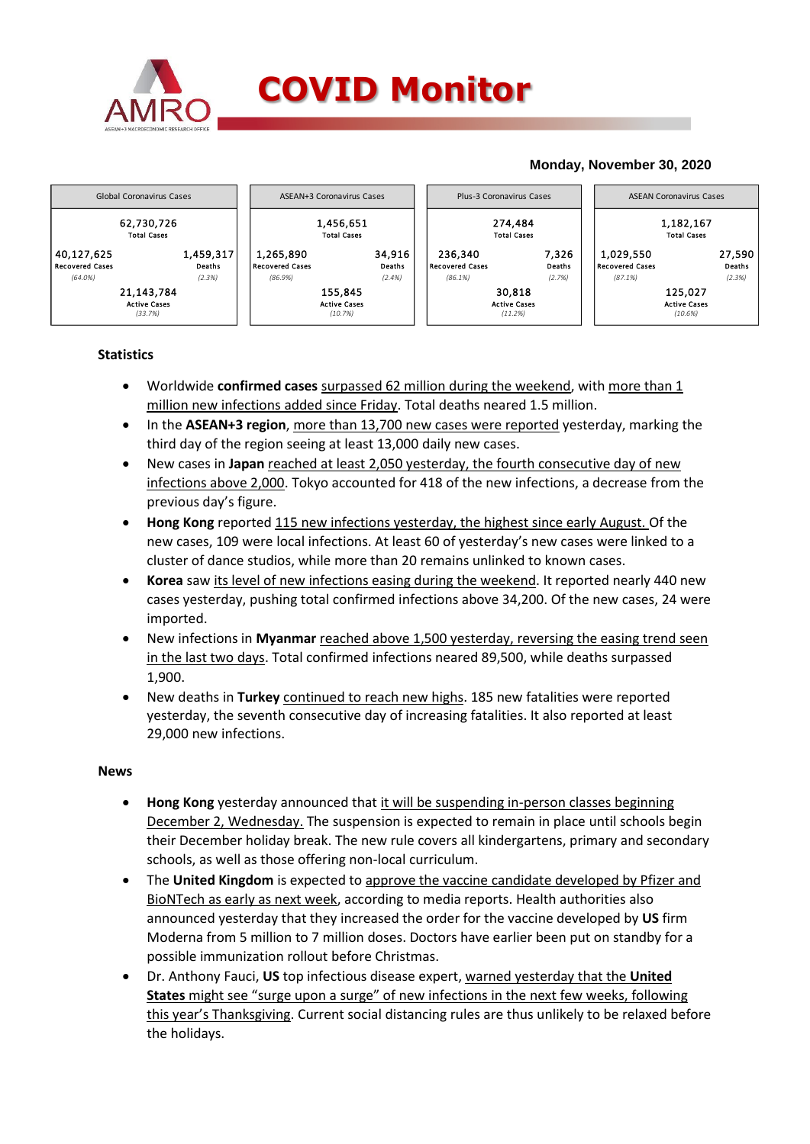

## **Monday, November 30, 2020**



## **Statistics**

- Worldwide **confirmed cases** surpassed 62 million during the weekend, with more than 1 million new infections added since Friday. Total deaths neared 1.5 million.
- In the **ASEAN+3 region**, more than 13,700 new cases were reported yesterday, marking the third day of the region seeing at least 13,000 daily new cases.
- New cases in **Japan** reached at least 2,050 yesterday, the fourth consecutive day of new infections above 2,000. Tokyo accounted for 418 of the new infections, a decrease from the previous day's figure.
- **Hong Kong** reported 115 new infections yesterday, the highest since early August. Of the new cases, 109 were local infections. At least 60 of yesterday's new cases were linked to a cluster of dance studios, while more than 20 remains unlinked to known cases.
- **Korea** saw its level of new infections easing during the weekend. It reported nearly 440 new cases yesterday, pushing total confirmed infections above 34,200. Of the new cases, 24 were imported.
- New infections in **Myanmar** reached above 1,500 yesterday, reversing the easing trend seen in the last two days. Total confirmed infections neared 89,500, while deaths surpassed 1,900.
- New deaths in **Turkey** continued to reach new highs. 185 new fatalities were reported yesterday, the seventh consecutive day of increasing fatalities. It also reported at least 29,000 new infections.

## **News**

- **Hong Kong** yesterday announced that it will be suspending in-person classes beginning December 2, Wednesday. The suspension is expected to remain in place until schools begin their December holiday break. The new rule covers all kindergartens, primary and secondary schools, as well as those offering non-local curriculum.
- The **United Kingdom** is expected to approve the vaccine candidate developed by Pfizer and BioNTech as early as next week, according to media reports. Health authorities also announced yesterday that they increased the order for the vaccine developed by **US** firm Moderna from 5 million to 7 million doses. Doctors have earlier been put on standby for a possible immunization rollout before Christmas.
- Dr. Anthony Fauci, **US** top infectious disease expert, warned yesterday that the **United States** might see "surge upon a surge" of new infections in the next few weeks, following this year's Thanksgiving. Current social distancing rules are thus unlikely to be relaxed before the holidays.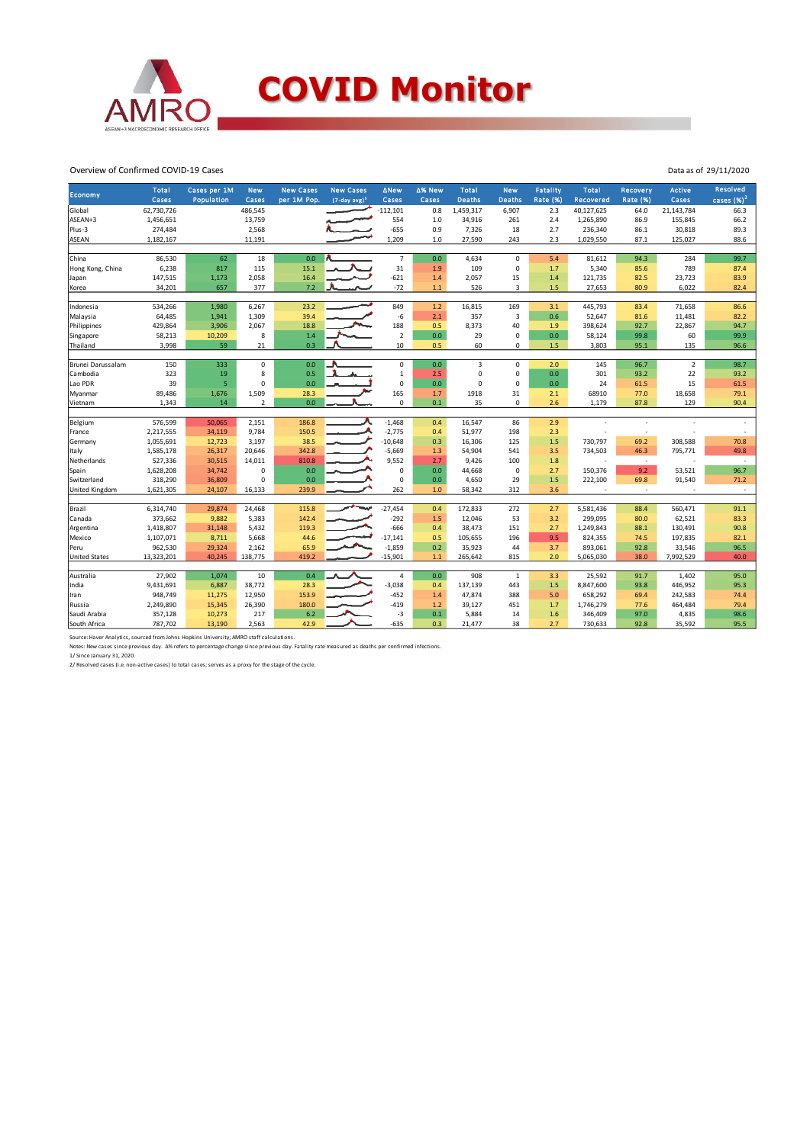

Overview of Confirmed COVID-19 Cases

|                       | <b>Total</b>      | Cases per 1M | <b>New</b>     | <b>New Cases</b> | <b>New Cases</b>            | <b>ANew</b>             | ∆% New     | Total          | <b>New</b>    | Fatality        | <b>Total</b>      | <b>Recovery</b> | <b>Active</b>  | <b>Resolved</b> |
|-----------------------|-------------------|--------------|----------------|------------------|-----------------------------|-------------------------|------------|----------------|---------------|-----------------|-------------------|-----------------|----------------|-----------------|
| <b>Economy</b>        | Cases             | Population   | Cases          | per 1M Pop.      | $(7$ -day avg) <sup>1</sup> | Cases                   | Cases      | <b>Deaths</b>  | <b>Deaths</b> | <b>Rate (%)</b> | Recovered         | <b>Rate (%)</b> | Cases          | cases $(%)2$    |
| Global                | 62,730,726        |              | 486,545        |                  |                             | $-112,101$              | 0.8        | 1,459,317      | 6,907         | 2.3             | 40,127,625        | 64.0            | 21,143,784     | 66.3            |
| ASEAN+3               | 1,456,651         |              | 13,759         |                  |                             | 554                     | 1.0        | 34,916         | 261           | 2.4             | 1,265,890         | 86.9            | 155,845        | 66.2            |
| Plus-3                | 274,484           |              | 2,568          |                  |                             | $-655$                  | 0.9        | 7,326          | 18            | 2.7             | 236,340           | 86.1            | 30,818         | 89.3            |
| <b>ASEAN</b>          | 1,182,167         |              | 11,191         |                  |                             | 1,209                   | $1.0$      | 27,590         | 243           | 2.3             | 1,029,550         | 87.1            | 125,027        | 88.6            |
|                       |                   |              |                |                  |                             |                         |            |                |               |                 |                   |                 |                |                 |
| China                 | 86,530            | 62           | 18             | 0.0              |                             | $\overline{7}$          | 0.0        | 4,634          | 0             | 5.4             | 81,612            | 94.3            | 284            | 99.7            |
| Hong Kong, China      | 6,238             | 817          | 115            | 15.1             |                             | 31                      | 1.9        | 109            | 0             | 1.7             | 5,340             | 85.6            | 789            | 87.4            |
| Japan                 | 147,515           | 1,173        | 2,058          | 16.4             |                             | $-621$                  | 1.4        | 2,057          | 15            | 1.4             | 121,735           | 82.5            | 23,723         | 83.9            |
| Korea                 | 34,201            | 657          | 377            | 7.2              |                             | $-72$                   | $1.1\,$    | 526            | 3             | 1.5             | 27,653            | 80.9            | 6,022          | 82.4            |
|                       |                   |              |                | 23.2             |                             | 849                     |            |                | 169           |                 |                   |                 |                |                 |
| Indonesia             | 534,266           | 1,980        | 6,267          |                  |                             |                         | $1.2$      | 16,815         | 3             | 3.1             | 445,793           | 83.4            | 71,658         | 86.6            |
| Malaysia              | 64,485            | 1,941        | 1,309          | 39.4             |                             | $-6$<br>188             | 2.1        | 357            | 40            | 0.6<br>1.9      | 52,647            | 81.6            | 11,481         | 82.2            |
| Philippines           | 429,864<br>58,213 | 3,906        | 2,067<br>8     | 18.8<br>1.4      |                             | $\overline{\mathbf{2}}$ | 0.5<br>0.0 | 8,373<br>29    | 0             |                 | 398,624<br>58,124 | 92.7            | 22,867<br>60   | 94.7<br>99.9    |
| Singapore<br>Thailand | 3,998             | 10,209<br>59 | 21             | 0.3              |                             | 10                      | 0.5        | 60             | 0             | 0.0<br>1.5      | 3,803             | 99.8<br>95.1    | 135            | 96.6            |
|                       |                   |              |                |                  |                             |                         |            |                |               |                 |                   |                 |                |                 |
| Brunei Darussalam     | 150               | 333          | $\mathbf 0$    | 0.0              |                             | $\mathbf 0$             | 0.0        | $\overline{3}$ | $\mathbf{0}$  | 2.0             | 145               | 96.7            | $\overline{2}$ | 98.7            |
| Cambodia              | 323               | 19           | 8              | 0.5              |                             | 1                       | 2.5        | $\mathbf 0$    | 0             | 0.0             | 301               | 93.2            | 22             | 93.2            |
| Lao PDR               | 39                | 5            | $\Omega$       | 0.0              |                             | $\mathsf 0$             | 0.0        | $\Omega$       | 0             | 0.0             | 24                | 61.5            | 15             | 61.5            |
| Myanmar               | 89,486            | 1,676        | 1,509          | 28.3             |                             | 165                     | 1.7        | 1918           | 31            | 2.1             | 68910             | 77.0            | 18,658         | 79.1            |
| Vietnam               | 1,343             | 14           | $\overline{2}$ | 0.0              |                             | $\mathbf 0$             | 0.1        | 35             | 0             | 2.6             | 1,179             | 87.8            | 129            | 90.4            |
|                       |                   |              |                |                  |                             |                         |            |                |               |                 |                   |                 |                |                 |
| Belgium               | 576,599           | 50,065       | 2,151          | 186.8            |                             | $-1,468$                | 0.4        | 16,547         | 86            | 2.9             |                   |                 |                |                 |
| France                | 2,217,555         | 34,119       | 9,784          | 150.5            |                             | $-2,775$                | 0.4        | 51,977         | 198           | 2.3             |                   | ×,              |                |                 |
| Germany               | 1,055,691         | 12,723       | 3,197          | 38.5             |                             | $-10,648$               | 0.3        | 16,306         | 125           | 1.5             | 730,797           | 69.2            | 308,588        | 70.8            |
| Italy                 | 1,585,178         | 26,317       | 20,646         | 342.8            |                             | $-5,669$                | 1.3        | 54,904         | 541           | 3.5             | 734,503           | 46.3            | 795,771        | 49.8            |
| Netherlands           | 527,336           | 30,515       | 14,011         | 810.8            |                             | 9,552                   | 2.7        | 9,426          | 100           | 1.8             |                   | $\sim$          | J.             | $\sim$          |
| Spain                 | 1,628,208         | 34,742       | $\mathsf 0$    | 0.0              |                             | 0                       | 0.0        | 44,668         | 0             | 2.7             | 150,376           | 9.2             | 53,521         | 96.7            |
| Switzerland           | 318,290           | 36,809       | 0              | 0.0              |                             | $\mathbf 0$             | 0.0        | 4,650          | 29            | 1.5             | 222,100           | 69.8            | 91,540         | 71.2            |
| United Kingdom        | 1,621,305         | 24,107       | 16,133         | 239.9            |                             | 262                     | 1.0        | 58,342         | 312           | 3.6             |                   | $\sim$          |                | $\sim$          |
| Brazil                | 6,314,740         | 29,874       | 24,468         | 115.8            | سيست                        | $-27,454$               | 0.4        | 172,833        | 272           | 2.7             | 5,581,436         | 88.4            | 560,471        | 91.1            |
| Canada                | 373,662           | 9,882        | 5,383          | 142.4            |                             | $-292$                  | 1.5        | 12,046         | 53            | 3.2             | 299,095           | 80.0            | 62,521         | 83.3            |
| Argentina             | 1,418,807         | 31,148       | 5,432          | 119.3            |                             | $-666$                  | 0.4        | 38,473         | 151           | 2.7             | 1,249,843         | 88.1            | 130,491        | 90.8            |
| Mexico                | 1,107,071         | 8,711        | 5,668          | 44.6             |                             | $-17,141$               | 0.5        | 105,655        | 196           | 9.5             | 824,355           | 74.5            | 197,835        | 82.1            |
| Peru                  | 962,530           | 29,324       | 2,162          | 65.9             |                             | $-1,859$                | 0.2        | 35,923         | 44            | 3.7             | 893,061           | 92.8            | 33,546         | 96.5            |
| <b>United States</b>  | 13,323,201        | 40,245       | 138,775        | 419.2            |                             | $-15,901$               | $1.1$      | 265,642        | 815           | 2.0             | 5,065,030         | 38.0            | 7,992,529      | 40.0            |
|                       |                   |              |                |                  |                             |                         |            |                |               |                 |                   |                 |                |                 |
| Australia             | 27,902            | 1,074        | 10             | 0.4              |                             | $\overline{a}$          | 0.0        | 908            | $\mathbf{1}$  | 3.3             | 25,592            | 91.7            | 1,402          | 95.0            |
| India                 | 9,431,691         | 6,887        | 38,772         | 28.3             |                             | $-3,038$                | 0.4        | 137,139        | 443           | 1.5             | 8,847,600         | 93.8            | 446,952        | 95.3            |
| Iran                  | 948.749           | 11,275       | 12,950         | 153.9            |                             | $-452$                  | 1.4        | 47,874         | 388           | 5.0             | 658,292           | 69.4            | 242,583        | 74.4            |
| Russia                | 2,249,890         | 15,345       | 26,390         | 180.0            |                             | $-419$                  | 1.2        | 39,127         | 451           | 1.7             | 1,746,279         | 77.6            | 464,484        | 79.4            |
| Saudi Arabia          | 357,128           | 10,273       | 217            | 6.2              |                             | $-3$                    | 0.1        | 5,884          | 14            | 1.6             | 346,409           | 97.0            | 4,835          | 98.6            |
| South Africa          | 787,702           | 13,190       | 2,563          | 42.9             |                             | $-635$                  | 0.3        | 21,477         | 38            | 2.7             | 730,633           | 92.8            | 35,592         | 95.5            |

Data as of 29/11/2020

Source: Haver Analytics, sourced from Johns Hopkins University; AMRO staff calculations.<br>Notes: New cases since previous day. Δ% refers to percentage change since previous day. Fatality rate measured as deaths per confirm